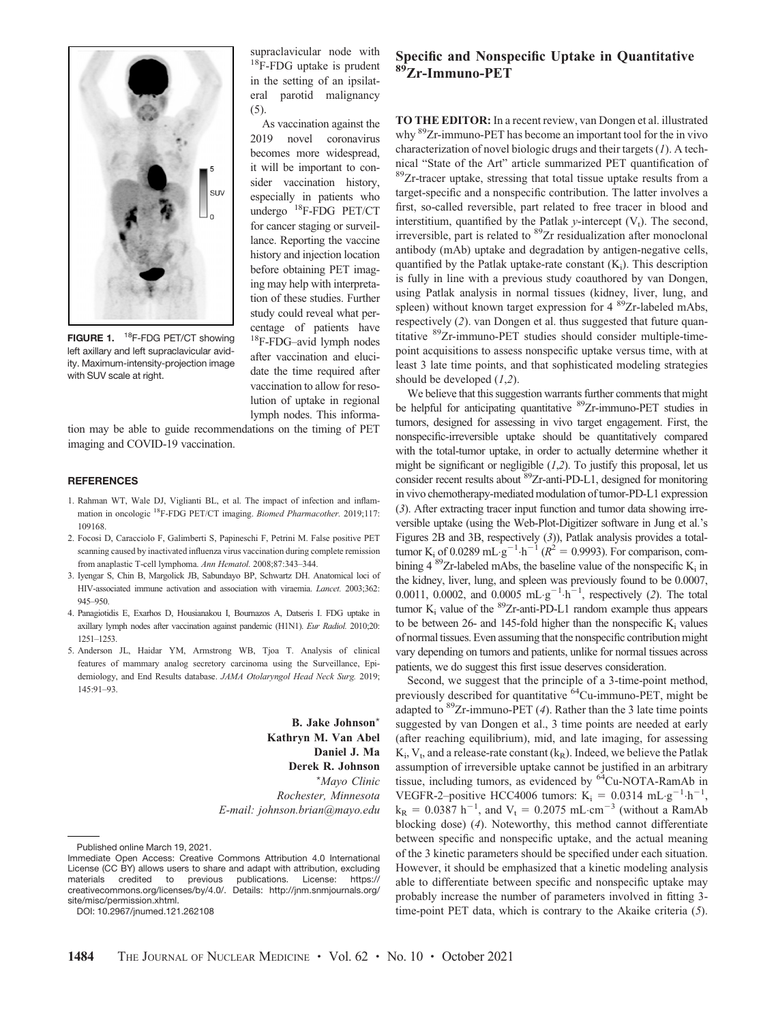

FIGURE 1. <sup>18</sup>F-FDG PET/CT showing left axillary and left supraclavicular avidity. Maximum-intensity-projection image with SUV scale at right.

supraclavicular node with <sup>18</sup>F-FDG uptake is prudent in the setting of an ipsilateral parotid malignancy  $(5)$ 

As vaccination against the 2019 novel coronavirus becomes more widespread, it will be important to consider vaccination history, especially in patients who undergo 18F-FDG PET/CT for cancer staging or surveillance. Reporting the vaccine history and injection location before obtaining PET imaging may help with interpretation of these studies. Further study could reveal what percentage of patients have 18F-FDG–avid lymph nodes after vaccination and elucidate the time required after vaccination to allow for resolution of uptake in regional lymph nodes. This informa-

tion may be able to guide recommendations on the timing of PET imaging and COVID-19 vaccination.

## **REFERENCES**

- 1. Rahman WT, Wale DJ, Viglianti BL, et al. The impact of infection and inflammation in oncologic <sup>18</sup>F-FDG PET/CT imaging. Biomed Pharmacother. 2019;117: 109168.
- 2. Focosi D, Caracciolo F, Galimberti S, Papineschi F, Petrini M. False positive PET scanning caused by inactivated influenza virus vaccination during complete remission from anaplastic T-cell lymphoma. Ann Hematol. 2008;87:343–344.
- 3. Iyengar S, Chin B, Margolick JB, Sabundayo BP, Schwartz DH. Anatomical loci of HIV-associated immune activation and association with viraemia. Lancet. 2003;362: 945–950.
- 4. Panagiotidis E, Exarhos D, Housianakou I, Bournazos A, Datseris I. FDG uptake in axillary lymph nodes after vaccination against pandemic (H1N1). Eur Radiol. 2010;20: 1251–1253.
- 5. Anderson JL, Haidar YM, Armstrong WB, Tjoa T. Analysis of clinical features of mammary analog secretory carcinoma using the Surveillance, Epidemiology, and End Results database. JAMA Otolaryngol Head Neck Surg. 2019; 145:91–93.

B. Jake Johnson\* Kathryn M. Van Abel Daniel J. Ma Derek R. Johnson \*Mayo Clinic Rochester, Minnesota E-mail: johnson.brian@mayo.edu

DOI: 10.2967/jnumed.121.262108

## Specific and Nonspecific Uptake in Quantitative <sup>89</sup>Zr-Immuno-PET

TO THE EDITOR: In a recent review, van Dongen et al. illustrated why <sup>89</sup>Zr-immuno-PET has become an important tool for the in vivo characterization of novel biologic drugs and their targets  $(I)$ . A tech-<br>nical "State of the Art" article summarized PET quantification of  $89Zr$ -tracer uptake, stressing that total tissue uptake results from a target-specific and a nonspecific contribution. The latter involves a first, so-called reversible, part related to free tracer in blood and interstitium, quantified by the Patlak  $\nu$ -intercept  $(V_t)$ . The second, irreversible, part is related to <sup>89</sup>Zr residualization after monoclonal antibody (mAb) uptake and degradation by antigen-negative cells, quantified by the Patlak uptake-rate constant  $(K_i)$ . This description is fully in line with a previous study coauthored by van Dongen, using Patlak analysis in normal tissues (kidney, liver, lung, and spleen) without known target expression for  $4^{89}Zr$ -labeled mAbs, respectively ([2](#page-1-0)). van Dongen et al. thus suggested that future quantitative <sup>89</sup>Zr-immuno-PET studies should consider multiple-timepoint acquisitions to assess nonspecific uptake versus time, with at least 3 late time points, and that sophisticated modeling strategies should be developed  $(1,2)$  $(1,2)$  $(1,2)$  $(1,2)$  $(1,2)$ .

We believe that this suggestion warrants further comments that might be helpful for anticipating quantitative <sup>89</sup>Zr-immuno-PET studies in tumors, designed for assessing in vivo target engagement. First, the nonspecific-irreversible uptake should be quantitatively compared with the total-tumor uptake, in order to actually determine whether it might be significant or negligible  $(1,2)$  $(1,2)$  $(1,2)$  $(1,2)$  $(1,2)$ . To justify this proposal, let us consider recent results about <sup>89</sup>Zr-anti-PD-L1, designed for monitoring in vivo chemotherapy-mediated modulation of tumor-PD-L1 expression ([3](#page-1-0)). After extracting tracer input function and tumor data showing irreversible uptake (using the Web-Plot-Digitizer software in Jung et al.'s Figures 2B and 3B, respectively ([3](#page-1-0))), Patlak analysis provides a totaltumor K<sub>i</sub> of 0.0289 mL·g<sup>-1</sup>·h<sup>-1</sup> ( $R^2 = 0.9993$ ). For comparison, combining 4  ${}^{89}Zr$ -labeled mAbs, the baseline value of the nonspecific K<sub>i</sub> in the kidney, liver, lung, and spleen was previously found to be 0.0007, 0.0011, 0.000[2](#page-1-0), and 0.0005 mL  $g^{-1}$  h<sup>-1</sup>, respectively (2). The total tumor  $K_i$  value of the <sup>89</sup>Zr-anti-PD-L1 random example thus appears to be between  $26$ - and 145-fold higher than the nonspecific  $K_i$  values of normal tissues. Even assuming that the nonspecific contribution might vary depending on tumors and patients, unlike for normal tissues across patients, we do suggest this first issue deserves consideration.

Second, we suggest that the principle of a 3-time-point method, previously described for quantitative <sup>64</sup>Cu-immuno-PET, might be adapted to  ${}^{89}Zr$ -immuno-PET ([4](#page-1-0)). Rather than the 3 late time points suggested by van Dongen et al., 3 time points are needed at early (after reaching equilibrium), mid, and late imaging, for assessing  $K_i$ ,  $V_t$ , and a release-rate constant  $(k_R)$ . Indeed, we believe the Patlak assumption of irreversible uptake cannot be justified in an arbitrary tissue, including tumors, as evidenced by <sup>64</sup>Cu-NOTA-RamAb in VEGFR-2-positive HCC4006 tumors:  $K_i = 0.0314 \text{ mL} \cdot \text{g}^{-1} \cdot \text{h}^{-1}$ ,  $k_R = 0.0387 h^{-1}$ , and  $V_t = 0.2075 mL cm^{-3}$  (without a RamAb blocking dose) ([4](#page-1-0)). Noteworthy, this method cannot differentiate between specific and nonspecific uptake, and the actual meaning of the 3 kinetic parameters should be specified under each situation. However, it should be emphasized that a kinetic modeling analysis able to differentiate between specific and nonspecific uptake may probably increase the number of parameters involved in fitting 3 time-point PET data, which is contrary to the Akaike criteria  $(5)$  $(5)$  $(5)$ .

Published online March 19, 2021.

Immediate Open Access: Creative Commons Attribution 4.0 International License (CC BY) allows users to share and adapt with attribution, excluding materials credited to previous publications. License: https:// materials credited to previous publications. License: [https://](https://creativecommons.org/licenses/by/4.0/) [creativecommons.org/licenses/by/4.0/](https://creativecommons.org/licenses/by/4.0/). Details: [http://jnm.snmjournals.org/](http://jnm.snmjournals.org/site/misc/permission.xhtml) [site/misc/permission.xhtml](http://jnm.snmjournals.org/site/misc/permission.xhtml).